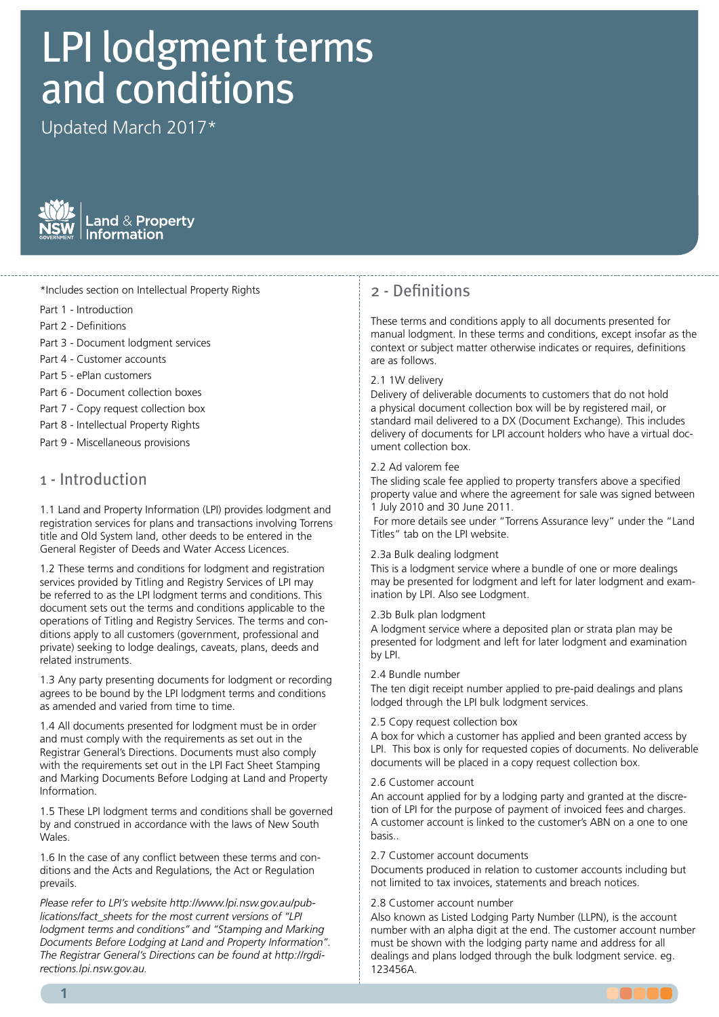# LPI lodgment terms and conditions

Updated March 2017\*



## \*Includes section on Intellectual Property Rights

- Part 1 Introduction Part 1 Introduction
- Part 2 Definitions Part 2 Definitions
- Part 3 Document lodgment services Part 3 Document lodgment services
- Part 4 Customer accounts Part 4 Customer accounts
- Part 5 ePlan customers
- Part 6 Document collection boxes
- Part 7 Copy request collection box
- Part 8 Intellectual Property Rights
- Part 9 Miscellaneous provisions

# 1 - Introduction

1.1 Land and Property Information (LPI) provides lodgment and<br>registration convices for plans and transactions involving Terrors title and Old System land, other deeds to be entered in the General Register of Deeds and Water Access Licences. registration services for plans and transactions involving Torrens

1.2 These terms and conditions for lodgment and registration services provided by Titling and Registry Services of LPI may be referred to as the LPI lodgment terms and conditions. This 1.2 These terms and conditions for lodgment and registration operations of Titling and Registry Services. The terms and conditions apply to all customers (government, professional and private) seeking to lodge dealings, caveats, plans, deeds and related instruments. document sets out the terms and conditions applicable to the

the operations of Titling and Registry Services. The terms and 1.3 Any party presenting documents for lodgment or recording<br>converted as learned by the UN below part to me and socialities agrees to be bound by the LPI lodgment terms and conditions and conditions as amended and varied from time to time.

1.13 Any presenting presention or lodgment must be an order than and must comply with the requirements as set out in the Registrar General's Directions. Documents must also comply with the requirements set out in the LPI Fact Sheet Stamping and Marking Documents Before Lodging at Land and Property  $\blacksquare$ 1.4 All documents presented for lodgment must be in order Information.

1.5 These LPI lodgment terms and conditions shall be governed by and construed in accordance with the laws of New South bulles  $\alpha$  and  $\alpha$ Wales.

1.6 In the case of any conflict between these terms and conditions and the Acts and Regulations, the Act or Regulation prevails.

Please refer to LPI's website [http://www.lpi.nsw.gov.au/pub](http://www.lpi.nsw.gov.au/publications/fact_sheets)ricase refer to Errs website mtp://www.ph.hsw.gov.aarpab<br>[lications/fact\\_sheets](http://www.lpi.nsw.gov.au/publications/fact_sheets) for the most current versions of "LPI and conditions. *lodgment terms and conditions" and "Stamping and Marking Documents Before Lodging at Land and Property Information". The Registrar General's Directions can be found at [http://rgdi](http://rgdirections.lpi.nsw.gov.au.%20)[rections.lpi.nsw.gov.au.](http://rgdirections.lpi.nsw.gov.au.%20)*

# 2 - Definitions 2 - Definitions

mese terms and conditions apply to all documents presented for manual lodgment. In these terms and conditions, except insofar as the matted reagment in these terms and conditions, except insolar as a<br>context or subject matter otherwise indicates or requires, definitions follows. are as follows. These terms and conditions apply to all documents presented for

#### 2.1 1W delivery of deliverable documents to customers to customers to customers to customers to customers to cu

Delivery of deliverable documents to customers that do not hold a physical document collection box will be by registered mail, or delivery of documents for LPI account holders who have a virtual document collection box. standard mail delivered to a DX (Document Exchange). This includes

#### 2.3 Bulk lodgment. A lodgment facility where a bundle of one or 2.2 Ad valorem fee

The sliding scale fee applied to property transfers above a specified property value and where the agreement for sale was signed between 1 July 2010 and 30 June 2011.

For more details see under "Torrens Assurance levy" under the "Land Titles" tab on the LPI website.

## 2.3a Bulk dealing lodgment

This is a lodgment service where a bundle of one or more dealings may be presented for lodgment and left for later lodgment and exam-<br>instinctive bul PL Also assul admosph ination by LPI. Also see Lodgment.

#### 2.3b Bulk plan lodgment

presented for lodgment and left for later lodgment and examination  $p$  and  $p$  for the discretion of  $L$  for the purpose of  $L$ A lodgment service where a deposited plan or strata plan may be by LPI.

# 2.4 Bundle number

The ten digit receipt number applied to pre-paid dealings and plans lodged through the LPI bulk lodgment services.

### 2.5 Copy request collection box

2.8 Deliverable document delivered that been granted decess by LPI. This box is only for requested copies of documents. No deliverable documents will be placed in a copy request collection box. authority in writing, relating to the examination, investigation, A box for which a customer has applied and been granted access by

## 2.6 Customer account.

An account applied for by a lodging party and granted at the discretion of LPI for the purpose of payment of invoiced fees and charges.  $2.99815...$ A customer account is linked to the customer's ABN on a one to one basis..

## 2.7 Customer account documents

2.10 Documents produced in relation to customer accounts including not limited to tax invoices, statements and breach notices. Documents produced in relation to customer accounts including but

#### 2.8 Customer account number

Also known as Listed Lodging Party Number (LLPN), is the account number with an alpha digit at the end. The customer account number must be shown with the lodging party name and address for all dealings and plans lodged through the bulk lodgment service. eg. 123456A.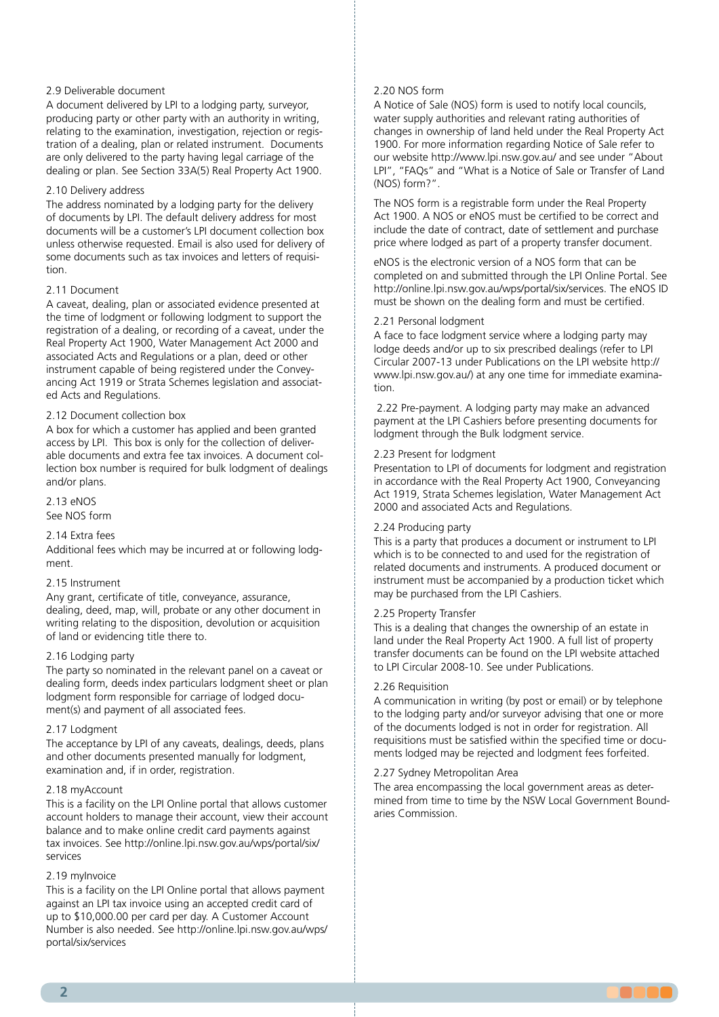#### 2.9 Deliverable document

relating to the examination, investigation, rejection or registration of a dealing, plan or related instrument. Documents are only delivered to the party having legal carriage of the dealing or plan. See Section 33A(5) Real Property Act 1900. A document delivered by LPI to a lodging party, surveyor, producing party or other party with an authority in writing,

#### 2.10 Delivery address

2.10 Donvory address<br>2.16 a bolderne construction box. A botanic when which a customer has botanic The address nominated by a lodging party for the delivery<br>of degree at bul PLThe defects delivery address for most documents will be a customer's LPI document collection box unless otherwise requested. Email is also used for delivery of some documents such as tax invoices and letters of requisiof documents by LPI. The default delivery address for most tion.

#### 2.11 Document. Any grant, conveyance, conveyance, conveyance, conveyance, conveyance, conveyance, conveyance, conveyance, conveyance, conveyance, conveyance, conveyance, conveyance, conveyance, conveyance, conveyance, conv

A caveat, dealing, plan or associated evidence presented at the time of lodgment or following lodgment to support the registration of a dealing, or recording of a caveat, under the associated Acts and Regulations or a plan, deed or other instrument capable of being registered under the Conveyancing Act 1919 or Strata Schemes legislation and associated Acts and Regulations. Real Property Act 1900, Water Management Act 2000 and

## 2.12 Document collection box

A box for which a customer has applied and been granted access by LPI. This box is only for the collection of deliverlection box number is required for bulk lodgment of dealings and/or plans. able documents and extra fee tax invoices. A document col-

up to \$10,000.00 per card per day. A customer account number 2.13 eNOS

See NOS form

#### 2.14 Extra fees a facility where  $\frac{1}{2}$

Additional fees which may be incurred at or following lodgdealings (refer https://www.lands.nsw.gov.au/ $\alpha$ ment.

# lpi\_circulars/2007/2007-13\_Changes\_to\_Document\_Lodgment\_ 2.15 Instrument

Any grant, certificate of title, conveyance, assurance, dealing, deed, map, will, probate or any other document in<br>suiting make an advanced in adjusting developing as a consisting writing relating to the disposition, devolution or acquisition<br>of land or avidencing title there to of land or evidencing title there to.

#### 2.16 Lodging party

The party so nominated in the relevant panel on a caveat or dealing form, deeds index particulars lodgment sheet or plan lodgment form responsible for carriage of lodged document(s) and payment of all associated fees.

#### 2.17 Lodgment

2.20 Producing party. A party that produces a document or The acceptance by LPI of any caveats, dealings, deeds, plans and other documents presented manually for lodgment, examination and, if in order, registration.

## 2.18 myAccount

This is a facility on the LPI Online portal that allows customer account holders to manage their account, view their account 2.22 Sydney Charles Sydney Charles Charles and the area. The area encompassing the area. The area encompassion of the area encompassion of the area encompassion of the area encompassion of the area encompassion of the area tax invoices. See http://online.lpi.nsw.gov.au/wps/portal/six/<br>services balance and to make online credit card payments against services

#### 2.19 myInvoice

This is a facility on the LPI Online portal that allows payment against an LPI tax invoice using an accepted credit card of up to \$10,000.00 per card per day. A Customer Account Number is also needed. See http://online.lpi.nsw.gov.au/wps/ portal/six/services

#### 2.20 NOS form

changes in ownership of land held under the Real Property Act<br>1900, For more information regarding Notice of Sale refer to our website http://www.lpi.nsw.gov.au/ and see under "About" LPI", "FAQs" and "What is a Notice of Sale or Transfer of Land<br>(NOS) farm 3" A Notice of Sale (NOS) form is used to notify local councils, water supply authorities and relevant rating authorities of 1900. For more information regarding Notice of Sale refer to (NOS) form?".

The NOS form is a registrable form under the Real Property Act 1900. A NOS or eNOS must be certified to be correct and include the date of contract, date of settlement and purchase price where lodged as part of a property transfer document.

eNOS is the electronic version of a NOS form that can be completed on and submitted through the LPI Online Portal. See http://online.lpi.nsw.gov.au/wps/portal/six/services. The eNOS ID must be shown on the dealing form and must be certified.

#### 2.21 Personal lodgment and fees and fees and fees and fees and fees and fees and fees and fees and fees and fees and fees and fees and fees and fees and fees and fees and fees and fees and fees and fees and fees and fees a

A face to face lodgment service where a lodging party may baye aceas analonal product in presentied dealings (feed to ETT)<br>Circular 2007-13 under Publications on the LPI website http:// to the lodging party. www.lpi.nsw.gov.au/) at any one time for immediate examina- $\mathfrak{a}$ . See Deliverable documents, requisitions and registrations and registrations and registration notices  $\mathfrak{a}$ lodge deeds and/or up to six prescribed dealings (refer to LPI tion.

2.22 Pre-payment. A lodging party may make an advanced payment at the LPI Cashiers before presenting documents for lodgment through the Bulk lodgment service.

#### 2.23 Present for lodgment or the document of the party noted on the document of the document of the document o

Presentation to LPI of documents for lodgment and registration in accordance with the Real Property Act 1900, Conveyancing and the 1919, Strate Schemes registeron, Mater Management 2000 and associated Acts and Regulations. Act 1919, Strata Schemes legislation, Water Management Act

## 2.24 Producing party

This is a party that produces a document or instrument to LPI which is to be connected to and used for the registration of instrument must be accompanied by a production ticket which may be purchased from the LPI Cashiers. related documents and instruments. A produced document or

#### 2.25 Property Transfer and 3.12 documents sent to 2.12 documents sent to LPI by S

This is a dealing that changes the ownership of an estate in land under the Real Property Act 1900. A full list of property transfer documents can be found on the LPI website attached to LPI Circular 2008-10. See under Publications.

## 2.26 Requisition

A communication in writing (by post or email) or by telephone to the lodging party and/or surveyor advising that one or more of the documents lodged is not in order for registration. All ments lodged may be rejected and lodgment fees forfeited. requisitions must be satisfied within the specified time or docu-

# 2.27 Sydney Metropolitan Area

z.z., bydney ivied opolitan Area<br>The area encompassing the local government areas as deter- $\frac{1}{2}$  interest changes for a replacement certificate of the replacement certificate of the second certificate of the second certificate of the second certificate of the second certificate of the second certificate of mined from time to time by the NSW Local Government Bound-<br>aries Commission the use of land applications to record abandon abandon abandon abandon abandon abandon abandon abandon abandon aries Commission.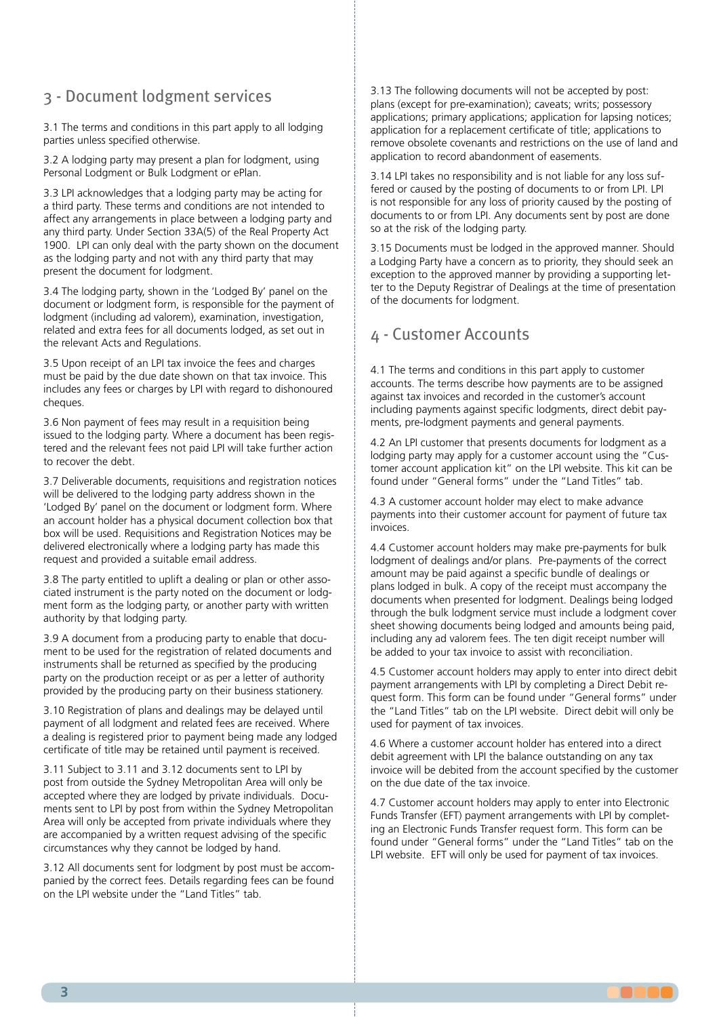# 3 - Document lodgment services

3.1 The terms and conditions in this part apply to all lodging parties unless specified otherwise.

3.2 A lodging party may present a plan for lodgment, using Personal Lodgment or Bulk Lodgment or ePlan.

3.3 LPI acknowledges that a lodging party may be acting for a third party. These terms and conditions are not intended to anect any analigements in place between a loughly party and<br>any third party. Under Section 33A(5) of the Real Property Act 1900. LPI can only deal with the party shown on the document as the lodging party and not with any third party that may affect any arrangements in place between a lodging party and present the document for lodgment.

3.4 The lodging party, shown in the 'Lodged By' panel on the document or lodgment form, is responsible for the payment of lodgment (including ad valorem), examination, investigation, related and extra fees for all documents lodged, as set out in the relevant Acts and Regulations.

 $2.14$  Lodging party. The party so nominated in the relevant party so non-in-the relevant panel panel panel panel panel panel panel panel panel panel panel panel panel panel panel panel panel panel panel panel panel panel 3.5 Upon receipt of an LPI tax invoice the fees and charges must be paid by the due date shown on that tax invoice. This includes any fees or charges by LPI with regard to dishonoured cheques.

3.6 Non payment of fees may result in a requisition being issued to the lodging party. Where a document has been registered and the relevant fees not paid LPI will take further action to recover the debt.

3.7 Deliverable documents, requisitions and registration notices will be delivered to the lodging party address shown in the 'Lodged By' panel on the document or lodgment form. Where box will be used. Requisitions and Registration Notices may be delivered electronically where a lodging party has made this request and provided a suitable email address. an account holder has a physical document collection box that

3.8 The party entitled to uplift a dealing or plan or other associated instrument is the party noted on the document or lodgauthority by that lodging party. ment form as the lodging party, or another party with written

payment at the LPM Authority's cashiers before presenting  $3.9$  A document from a producing party to enable that docu-<br> $\frac{1}{2}$ instruments shall be returned as specified by the producing party on the production receipt or as per a letter of authority provided by the producing party on their business stationery. ment to be used for the registration of related documents and

3.10 Registration of plans and dealings may be delayed until a dealing is registered prior to payment being made any lodged certificate of title may be retained until payment is received. payment of all lodgment and related fees are received. Where

3.11 Subject to 3.11 and 3.12 documents sent to LPI by post from outside the Sydney Metropolitan Area will only be accepted where they are lodged by private individuals. Documents sent to LPI by post from within the Sydney Metropolitan are accompanied by a written request advising of the specific circumstances why they cannot be lodged by hand. Area will only be accepted from private individuals where they

3.12 All documents sent for lodgment by post must be accompanied by the correct fees. Details regarding fees can be found on the LPI website under the "Land Titles" tab.

application for a replacement certificate of title; applications to<br>remove obsolete covenants and restrictions on the use of land and application to record abandonment of easements. 3.13 The following documents will not be accepted by post: plans (except for pre-examination); caveats; writs; possessory applications; primary applications; application for lapsing notices; application for a replacement certificate of title; applications to

3.14 LPI takes no responsibility and is not liable for any loss suf-Is not responsible for any loss of priority caused by the posting of documents to or from LPI. Any documents sent by post are done so at the risk of the lodging party. fered or caused by the posting of documents to or from LPI. LPI

party and any third party. a Lodging Party have a concern as to priority, they should seek an exception to the approved manner by providing a supporting letter to the Deputy Registrar of Dealings at the time of presentation of the documents for lodgment. 3.15 Documents must be lodged in the approved manner. Should

# 4 - Customer Accounts

4.1 The terms and conditions in this part apply to customer accounts. The terms acsentice notic payments are to be assigned<br>against tax invoices and recorded in the customer's account against tax in the location in the cases in the comparison. ments, pre-lodgment payments and general payments. accounts. The terms describe how payments are to be assigned

4.2 An LPI customer that presents documents for lodgment as a lodging party may apply for a customer account using the "Customer account application kit" on the LPI website. This kit can be found under "General forms" under the "Land Titles" tab.

4.3 A customer account holder may elect to make advance payments into their customer account for payment of future tax  $\alpha$ nd instruments shall be returned as specified by the producing by the producing by the producing by the producing by the producing by the producing by the producing by the producing by the producing by the producing b invoices.

4.4 Customer account holders may make pre-payments for bulk lodgment of dealings and/or plans. Pre-payments of the correct amount may be paid against a specific bundle of dealings or plans lodged in bulk. A copy of the receipt must accompany the through the bulk lodgment service must include a lodgment cover sheet showing documents being lodged and amounts being paid, including any ad valorem fees. The ten digit receipt number will be added to your tax invoice to assist with reconciliation. documents when presented for lodgment. Dealings being lodged

4.5 Customer account holders may apply to enter into direct debit payment arrangements with LPI by completing a Direct Debit request form. This form can be found under "General forms" under the "Land Titles" tab on the LPI website. Direct debit will only be used for normant of towing incompanies. used for payment of tax invoices.

3.12 The following documents will not be accepted by post: debit agreement with LPI the balance outstanding on any tax invoice will be debited from the account specified by the customer on the due date of the tax invoice. 4.6 Where a customer account holder has entered into a direct

notices, applications for a replacement certificate of title, 4.7 Customer account holders may apply to enter into Electronic Funds Transfer (EFT) payment arrangements with LPI by completfound under "General forms" under the "Land Titles" tab on the LPI website. EFT will only be used for payment of tax invoices. ing an Electronic Funds Transfer request form. This form can be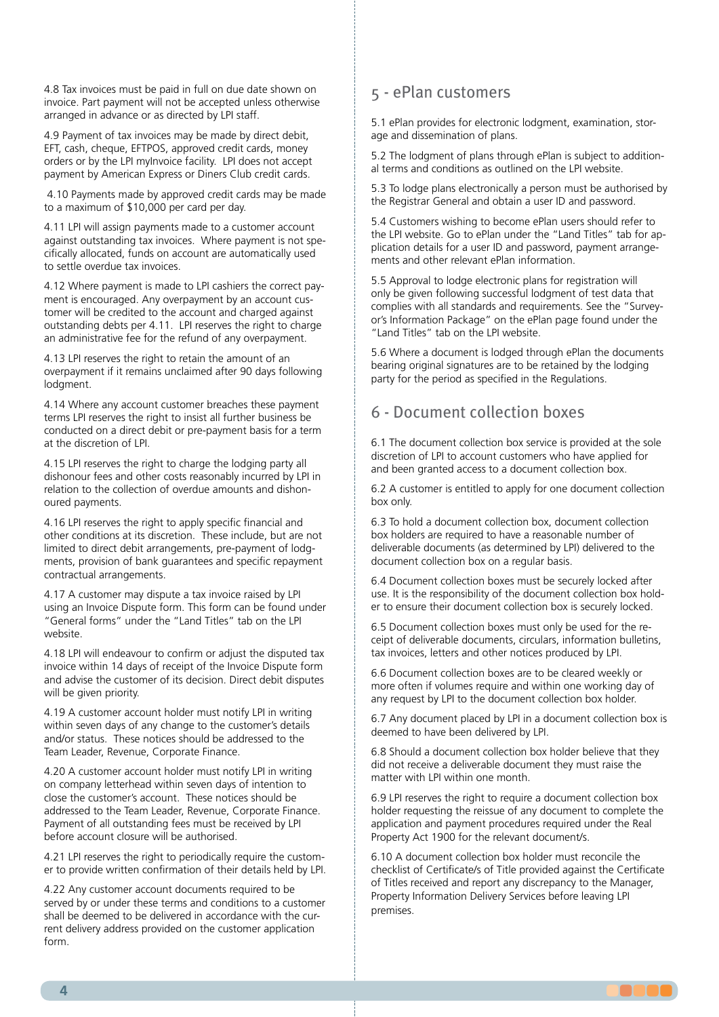4.8 Tax invoices must be paid in full on due date shown on invoice. Part payment will not be accepted unless otherwise arranged in advance or as directed by LPI staff.

4.9 Payment of tax invoices may be made by direct debit, EFT, cash, cheque, EFTPOS, approved credit cards, money orders or by the LPI myInvoice facility. LPI does not accept payment by American Express or Diners Club credit cards.

4.10 Payments made by approved credit cards may be made to a maximum of \$10,000 per card per day.

4.11 LPI will assign payments made to a customer account Extra Federational feature at our contract may be incurred at the complete cifically allocated, funds on account are automatically used to settle overdue tax invoices. against outstanding tax invoices. Where payment is not spe-

4.12 Where payment is made to LPI cashiers the correct payment is encouraged. Any overpayment by an account customer will be credited to the account and charged against outstanding debts per 4.11. LPI reserves the right to charge an administrative fee for the refund of any overpayment.

4.13 LPI reserves the right to retain the amount of an overpayment if it remains unclaimed after 90 days following lodgment.

the document(s). terms LPI reserves the right to insist all further business be conducted on a direct debit or pre-payment basis for a term at the discretion of LPI. 4.14 Where any account customer breaches these payment

First Enneserves the right to enarge the loaging party all dishonour fees and other costs reasonably incurred by LPI in payment and tax involvement and accepted credit card of overdue amounts and dishonoured payments. 4.15 LPI reserves the right to charge the lodging party all

 $\mathcal{L}$ is also needed. See http://six/wps/portal/. See http://six/wps/portal/. See http://six/wps/portal/. See http://six/wps/portal/. See http://six/wps/portal/. See http://six/wps/portal/. See http://six/wps/portal/. S other conditions at its discretion. These include, but are not limited to direct debit arrangements, pre-payment of lodgments, provision of bank guarantees and specific repayment contractual arrangements. 4.16 LPI reserves the right to apply specific financial and

4.17 A customer may dispute a tax invoice raised by LPI "General forms" under the "Land Titles" tab on the LPI website. using an Invoice Dispute form. This form can be found under

4.18 LPI will endeavour to confirm or adjust the disputed tax invoice within 14 days of receipt of the Invoice Dispute form and advise the customer of its decision. Direct debit disputes will be given priority.

4.19 A customer account holder must notify LPI in writing 2.20 Product party of any sharing to the section of example and/or status. These notices should be addressed to the Team Leader, Revenue, Corporate Finance. within seven days of any change to the customer's details

registration of related documents and instruments. on company letterhead within seven days of intention to close the customer's account. These notices should be addressed to the Team Leader, Revenue, Corporate Finance. before account closure will be authorised. 4.20 A customer account holder must notify LPI in writing Payment of all outstanding fees must be received by LPI

4.21 LPI reserves the right to periodically require the customer to provide written confirmation of their details held by LPI.

4.22 Any customer account documents required to be served by or under these terms and conditions to a customer shall be deemed to be delivered in accordance with the current delivery address provided on the customer application form.

# 5 - ePlan customers

3 - Document lodgment services age and dissemination of plans. 5.1 ePlan provides for electronic lodgment, examination, stor-

3.1 The terms and conditions in this part apply to all lodging al terms and conditions as outlined on the LPI website. parties und conditions as odificed 5.2 The lodgment of plans through ePlan is subject to addition-

3.2 LPM Authority acknowledges that a lodging party may be the Registrar General and obtain a user ID and password. acting for a third party. These terms and conditions are not 5.3 To lodge plans electronically a person must be authorised by

5.4 Customers wishing to become ePlan users should refer to the LPI website. Go to erian under the Land Titles Tab for a<br>plication details for a user ID and password, payment arrangements and other relevant ePlan information. the LPI website. Go to ePlan under the "Land Titles" tab for ap-

5.5 Approval to lodge electronic plans for registration will bish reprovance lodge electronic plans for registration will<br>only be given following successful lodgment of test data that only be given rollowing succession lodgifiem or test data that<br>complies with all standards and requirements. See the "Surveyor's Information Package" on the ePlan page found under the "Land Titles" tab on the LPI website.

5.6 Where a document is lodged through ePlan the documents bearing original signatures are to be retained by the lodging party for the period as specified in the Regulations.

#### will be demonstrativered to the lodging party address shown in the lodging party and the lodging party of the lo 6 - Document collection boxes

6.1 The document collection box service is provided at the sole discretion of LPI to account customers who have applied for and been granted access to a document collection box.

6.2 A customer is entitled to apply for one document collection box only.

6.3 To hold a document collection box, document collection and instruments shall be returned as specified by the producing box holders are required to have a reasonable number of deliverable documents (as determined by LPI) delivered to the document collection box on a regular basis.

6.4 Document collection boxes must be securely locked after use. It is the responsibility of the document collection box holder to ensure their document collection box is securely locked.

6.5 Document collection boxes must only be used for the receipt of deliverable documents, circulars, information bulletins, tax invoices, letters and other notices produced by LPI.

6.6 Document collection boxes are to be cleared weekly or more often if volumes require and within one working day of any request by LPI to the document collection box holder.

6.7 Any document placed by LPI in a document collection box is deemed to have been delivered by LPI.

6.8 Should a document collection box holder believe that they did not receive a deliverable document they must raise the matter with LPI within one month.

6.9 LPI reserves the right to require a document collection box holder requesting the reissue of any document to complete the application and payment procedures required under the Real Property Act 1900 for the relevant document/s.

6.10 A document collection box holder must reconcile the checklist of Certificate/s of Title provided against the Certificate of Titles received and report any discrepancy to the Manager, Property Information Delivery Services before leaving LPI done so at the risk of the risk of the lodging party.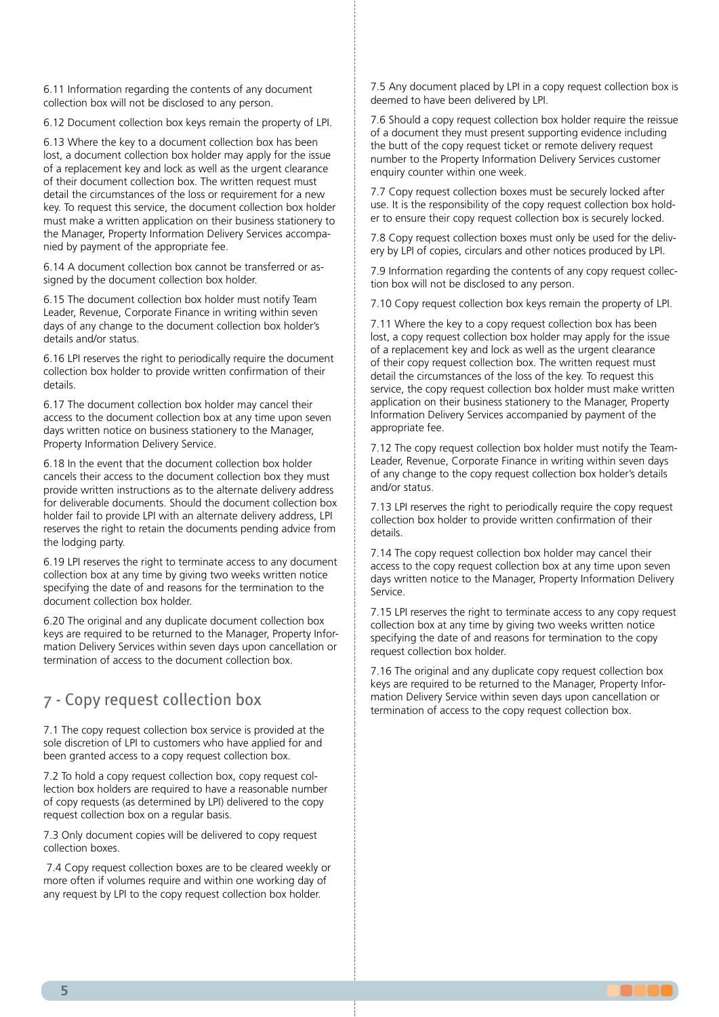6.11 Information regarding the contents of any document collection box will not be disclosed to any person.

under the *Real Property Act 1900, Water Management Act 2000*  6.12 Document collection box keys remain the property of LPI.

6.13 Where the key to a document collection box has been lost, a document collection box holder may apply for the issue of a replacement key and lock as well as the urgent clearance detail the circumstances of the loss or requirement for a new key. To request this service, the document collection box holder must make a written application on their business stationery to nied by payment of the appropriate fee. of their document collection box. The written request must the Manager, Property Information Delivery Services accompa-

6.14 A document collection box cannot be transferred or assigned by the document collection box holder.

6.15 The document collection box holder must notify Team Leader, Revenue, Corporate Finance in writing within seven days of any change to the document collection box holder's details and/or status.

6.16 LPI reserves the right to periodically require the document collection box holder to provide written confirmation of their sheet or plan looped for plan lodger form responsible form responsible form responsible form  $\alpha$ details.

access to the document collection box at any time upon seven days written notice on business stationery to the Manager, Property Information Delivery Service. 6.17 The document collection box holder may cancel their

cancels their access to the document collection box holder cancels their access to the document collection box they must provide written instructions as to the alternate delivery address for deliverable documents. Should the document collection box holder fail to provide LPI with an alternate delivery address, LPI reserves the right to retain the documents pending advice from<br>the lodging party are longing party. 6.18 In the event that the document collection box holder the lodging party.

6.19 LPI reserves the right to terminate access to any document collection box at any time by giving two weeks written notice specifying the date of and reasons for the termination to the document collection box holder.

6.20 The original and any duplicate document collection box keys are required to be returned to the Manager, Property Information Delivery Services within seven days upon cancellation or termination of access to the document collection box.

#### *Conveyancing Act 1919, Water Management Act 2000* and 7 - Copy request collection box

7.1 The copy request collection box service is provided at the sole discretion of LPI to customers who have applied for and been granted access to a copy request collection box.

lection box holders are required to have a reasonable number of copy requests (as determined by LPI) delivered to the copy request collection box on a regular basis. 7.2 To hold a copy request collection box, copy request col-

7.3 Only document copies will be delivered to copy request collection boxes.

7.4 Copy request collection boxes are to be cleared weekly or more often if volumes require and within one working day of any request by LPI to the copy request collection box holder.

7.5 Any document placed by LPI in a copy request collection box is deemed to have been delivered by LPI.

of a document they must present supporting evidence including<br>the butt of the convicewest ticket or remote delivery request number to the Property Information Delivery Services customer enquiry counter within one week. 7.6 Should a copy request collection box holder require the reissue the butt of the copy request ticket or remote delivery request

7.7 Copy request collection boxes must be securely locked after acting the responsibility of the copy request conection box er to ensure their copy request collection box is securely locked. use. It is the responsibility of the copy request collection box hold-

7.8 Copy request collection boxes must only be used for the deliv- $\frac{3}{2}$ ,  $\frac{3}{2}$  The lodged By particle by the lodged By particle  $\frac{3}{2}$ ery by LPI of copies, circulars and other notices produced by LPI.

7.9 Information regarding the contents of any copy request collection box will not be disclosed to any person.

7.10 Copy request collection box keys remain the property of LPI.

7.11 Where the key to a copy request collection box has been lost, a copy request collection box holder may apply for the issue of a replacement key and lock as well as the argent elements.<br>of their copy request collection box. The written request must detail the circumstances of the loss of the key. To request this service, the copy request collection box holder must make written application on their business stationery to the Manager, Property Information Delivery Services accompanied by payment of the of a replacement key and lock as well as the urgent clearance appropriate fee.

3.7 The party entitled to uplift a dealing or plan or other 7.12 The copy request collection box holder must notify the Teameauer, nevertue, corporate rinance in withing within seven of any change to the copy request collection box holder's details and/or status Leader, Revenue, Corporate Finance in writing within seven days and/or status.

7.13 LPI reserves the right to periodically require the copy request collection box holder to provide written confirmation of their and instruments shall be returned as specified by the production of the production  $\mathcal{L}$ details.

party on the production receipt or as per a letter of authority 7.14 The copy request collection box holder may cancel their days written notice to the Manager, Property Information Delivery payment of all lodges are related fees are received. The received fees are received fees are received. access to the copy request collection box at any time upon seven Service.

7.15 LPI reserves the right to terminate access to any copy request collection box at any time by giving two weeks written notice specifying the date of and reasons for termination to the copy request collection box holder.

7.16 The original and any duplicate copy request collection box keys are required to be returned to the Manager, Property Information Delivery Service within seven days upon cancellation or termination of access to the copy request collection box.